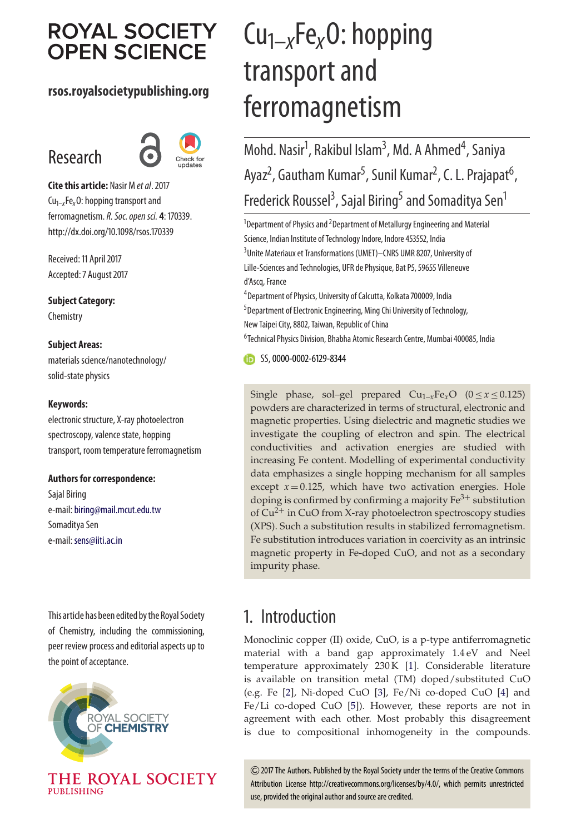# **ROYAL SOCIETY OPEN SCIENCE**

### **rsos.royalsocietypublishing.org**

# Research



**Cite this article:** Nasir M *et al*. 2017 Cu1–*x*Fe*x*O: hopping transport and ferromagnetism.*R. Soc. open sci.* **4**: 170339. http://dx.doi.org/10.1098/rsos.170339

Received: 11 April 2017 Accepted: 7 August 2017

**Subject Category: Chemistry** 

### **Subject Areas:**

materials science/nanotechnology/ solid-state physics

### **Keywords:**

electronic structure, X-ray photoelectron spectroscopy, valence state, hopping transport, room temperature ferromagnetism

### **Authors for correspondence:**

Sajal Biring e-mail:[biring@mail.mcut.edu.tw](mailto:biring@mail.mcut.edu.tw) Somaditya Sen e-mail: [sens@iiti.ac.in](mailto:sens@iiti.ac.in)

This article has been edited bythe Royal Society of Chemistry, including the commissioning, peer review process and editorial aspects up to the point of acceptance.



PUBLISHING

# Cu1–*x*Fe*x*O: hopping transport and ferromagnetism

Mohd. Nasir<sup>1</sup>, Rakibul Islam<sup>3</sup>, Md. A Ahmed<sup>4</sup>, Saniya Ayaz<sup>2</sup>, Gautham Kumar<sup>5</sup>, Sunil Kumar<sup>2</sup>, C. L. Prajapat<sup>6</sup> , Frederick Roussel<sup>3</sup>, Sajal Biring<sup>5</sup> and Somaditya Sen<sup>1</sup>

 $^1$ Department of Physics and  $^2$ Department of Metallurgy Engineering and Material Science, Indian Institute of Technology Indore, Indore 453552, India <sup>3</sup>Unite Materiaux et Transformations (UMET)—CNRS UMR 8207, University of Lille-Sciences and Technologies, UFR de Physique, Bat P5, 59655 Villeneuve d'Ascq, France

4 Department of Physics, University of Calcutta, Kolkata 700009, India 5 Department of Electronic Engineering, Ming Chi University of Technology, New Taipei City, 8802, Taiwan, Republic of China

6 Technical Physics Division, Bhabha Atomic Research Centre, Mumbai 400085, India

SS, [0000-0002-6129-8344](http://orcid.org/0000-0002-6129-8344)

Single phase, sol–gel prepared  $Cu_{1-x}Fe_xO$  ( $0 \le x \le 0.125$ ) powders are characterized in terms of structural, electronic and magnetic properties. Using dielectric and magnetic studies we investigate the coupling of electron and spin. The electrical conductivities and activation energies are studied with increasing Fe content. Modelling of experimental conductivity data emphasizes a single hopping mechanism for all samples except  $x = 0.125$ , which have two activation energies. Hole doping is confirmed by confirming a majority  $Fe<sup>3+</sup>$  substitution of  $Cu^{2+}$  in CuO from X-ray photoelectron spectroscopy studies (XPS). Such a substitution results in stabilized ferromagnetism. Fe substitution introduces variation in coercivity as an intrinsic magnetic property in Fe-doped CuO, and not as a secondary impurity phase.

## 1. Introduction

Monoclinic copper (II) oxide, CuO, is a p-type antiferromagnetic material with a band gap approximately 1.4 eV and Neel temperature approximately 230 K [\[1\]](#page-7-0). Considerable literature is available on transition metal (TM) doped/substituted CuO (e.g. Fe [\[2\]](#page-7-1), Ni-doped CuO [\[3\]](#page-7-2), Fe/Ni co-doped CuO [\[4\]](#page-7-3) and Fe/Li co-doped CuO [\[5\]](#page-7-4)). However, these reports are not in agreement with each other. Most probably this disagreement is due to compositional inhomogeneity in the compounds.

2017 The Authors. Published by the Royal Society under the terms of the Creative Commons Attribution License http://creativecommons.org/licenses/by/4.0/, which permits unrestricted use, provided the original author and source are credited.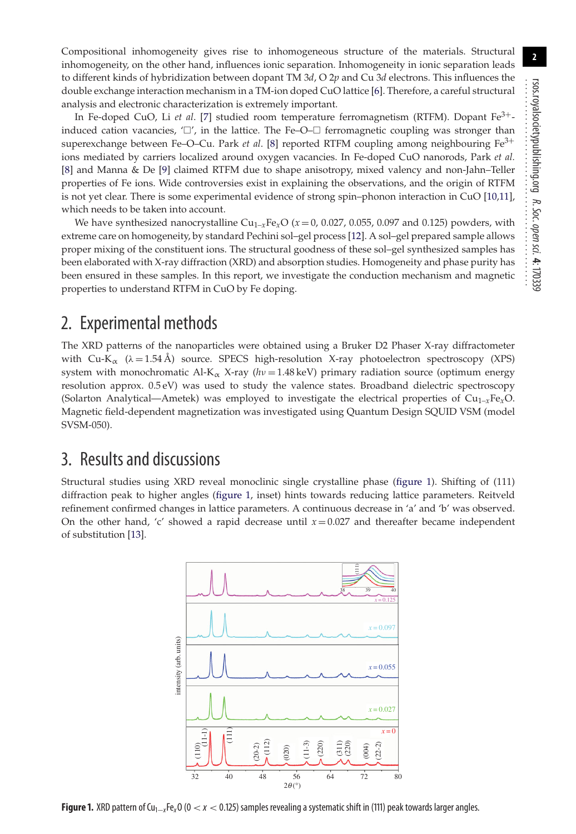Compositional inhomogeneity gives rise to inhomogeneous structure of the materials. Structural inhomogeneity, on the other hand, influences ionic separation. Inhomogeneity in ionic separation leads to different kinds of hybridization between dopant TM 3*d*, O 2*p* and Cu 3*d* electrons. This influences the double exchange interaction mechanism in a TM-ion doped CuO lattice [\[6\]](#page-7-5). Therefore, a careful structural analysis and electronic characterization is extremely important.

In Fe-doped CuO, Li *et al*. [\[7\]](#page-7-6) studied room temperature ferromagnetism (RTFM). Dopant Fe3+ induced cation vacancies, ' $\Box'$ , in the lattice. The Fe–O– $\Box$  ferromagnetic coupling was stronger than superexchange between Fe-O-Cu. Park *et al*. [\[8\]](#page-7-7) reported RTFM coupling among neighbouring Fe<sup>3+</sup> ions mediated by carriers localized around oxygen vacancies. In Fe-doped CuO nanorods, Park *et al.* [\[8\]](#page-7-7) and Manna & De [\[9\]](#page-7-8) claimed RTFM due to shape anisotropy, mixed valency and non-Jahn–Teller properties of Fe ions. Wide controversies exist in explaining the observations, and the origin of RTFM is not yet clear. There is some experimental evidence of strong spin–phonon interaction in CuO [\[10](#page-7-9)[,11\]](#page-7-10), which needs to be taken into account.

We have synthesized nanocrystalline  $Cu_{1-x}Fe_xO$  ( $x=0$ , 0.027, 0.055, 0.097 and 0.125) powders, with extreme care on homogeneity, by standard Pechini sol–gel process [\[12\]](#page-7-11). A sol–gel prepared sample allows proper mixing of the constituent ions. The structural goodness of these sol–gel synthesized samples has been elaborated with X-ray diffraction (XRD) and absorption studies. Homogeneity and phase purity has been ensured in these samples. In this report, we investigate the conduction mechanism and magnetic properties to understand RTFM in CuO by Fe doping.

## 2. Experimental methods

The XRD patterns of the nanoparticles were obtained using a Bruker D2 Phaser X-ray diffractometer with Cu-K<sub>α</sub> ( $\lambda = 1.54$  Å) source. SPECS high-resolution X-ray photoelectron spectroscopy (XPS) system with monochromatic Al-K<sub>α</sub> X-ray ( $h\nu$  = 1.48 keV) primary radiation source (optimum energy resolution approx. 0.5 eV) was used to study the valence states. Broadband dielectric spectroscopy (Solarton Analytical—Ametek) was employed to investigate the electrical properties of Cu1*–x*Fe*x*O. Magnetic field-dependent magnetization was investigated using Quantum Design SQUID VSM (model SVSM-050).

## 3. Results and discussions

<span id="page-1-0"></span>Structural studies using XRD reveal monoclinic single crystalline phase [\(figure 1\)](#page-1-0). Shifting of (111) diffraction peak to higher angles [\(figure 1,](#page-1-0) inset) hints towards reducing lattice parameters. Reitveld refinement confirmed changes in lattice parameters. A continuous decrease in 'a' and 'b' was observed. On the other hand, 'c' showed a rapid decrease until  $x = 0.027$  and thereafter became independent of substitution [\[13\]](#page-7-12).



**Figure 1.** XRD pattern of Cu1−*<sup>x</sup>*Fe*x*O (0 < *x* < 0.125) samples revealing a systematic shift in (111) peak towards larger angles.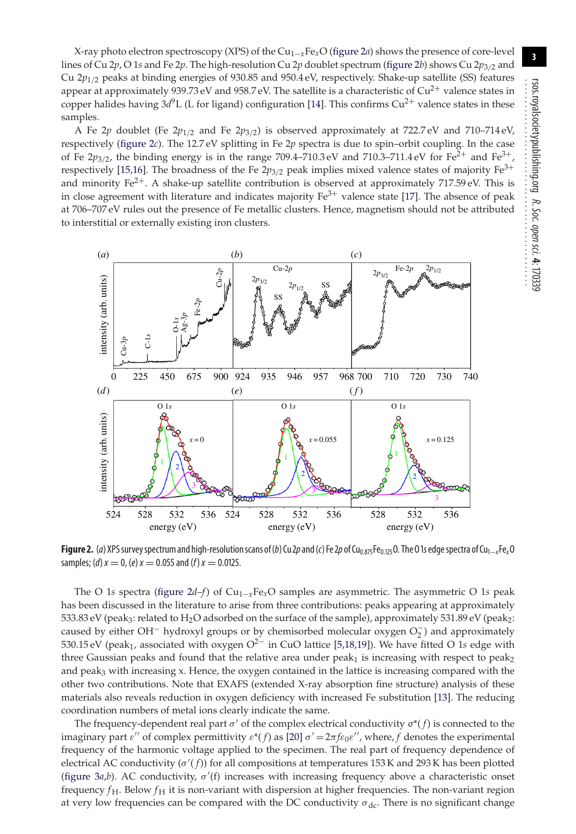X-ray photo electron spectroscopy (XPS) of the Cu1−*x*Fe*x*O [\(figure 2](#page-2-0)*a*) shows the presence of core-level lines of Cu 2*p*,O1*s* and Fe 2*p*. The high-resolution Cu 2*p* doublet spectrum [\(figure 2](#page-2-0)*b*) shows Cu 2*p*3/<sup>2</sup> and Cu 2*p*1/<sup>2</sup> peaks at binding energies of 930.85 and 950.4 eV, respectively. Shake-up satellite (SS) features appear at approximately 939.73 eV and 958.7 eV. The satellite is a characteristic of  $Cu^{2+}$  valence states in copper halides having  $3d^9$ L (L for ligand) configuration [\[14\]](#page-7-13). This confirms Cu<sup>2+</sup> valence states in these samples.

A Fe 2*p* doublet (Fe 2 $p_{1/2}$  and Fe 2 $p_{3/2}$ ) is observed approximately at 722.7 eV and 710–714 eV, respectively [\(figure 2](#page-2-0)*c*). The 12.7 eV splitting in Fe 2*p* spectra is due to spin–orbit coupling. In the case of Fe  $2p_{3/2}$ , the binding energy is in the range 709.4–710.3 eV and 710.3–711.4 eV for Fe<sup>2+</sup> and Fe<sup>3+</sup> respectively [\[15](#page-7-14)[,16\]](#page-7-15). The broadness of the Fe  $2p_{3/2}$  peak implies mixed valence states of majority Fe<sup>3+</sup> and minority  $Fe^{2+}$ . A shake-up satellite contribution is observed at approximately 717.59 eV. This is in close agreement with literature and indicates majority  $Fe^{3+}$  valence state [\[17\]](#page-7-16). The absence of peak at 706–707 eV rules out the presence of Fe metallic clusters. Hence, magnetism should not be attributed to interstitial or externally existing iron clusters.

<span id="page-2-0"></span>

**Figure 2.** (*a*) XPS survey spectrum and high-resolution scans of (*b*) Cu 2*p* and (*c*) Fe 2*p* of Cu<sub>0.875</sub>Fe<sub>0.125</sub>O. The O1s edge spectra of Cu<sub>1−*x*</sub>Fe<sub>x</sub>O samples; (*d*)  $x = 0$ , (*e*)  $x = 0.055$  and (*f*)  $x = 0.0125$ .

The O 1*s* spectra [\(figure 2](#page-2-0)*d*–*f*) of Cu1−*x*Fe*x*O samples are asymmetric. The asymmetric O 1*s* peak has been discussed in the literature to arise from three contributions: peaks appearing at approximately 533.83 eV (peak3: related to H<sub>2</sub>O adsorbed on the surface of the sample), approximately 531.89 eV (peak<sub>2</sub>: caused by either OH<sup>-</sup> hydroxyl groups or by chemisorbed molecular oxygen  $O_2^-$ ) and approximately 530.15 eV (peak1, associated with oxygen O2<sup>−</sup> in CuO lattice [\[5](#page-7-4)[,18,](#page-7-17)[19\]](#page-7-18)). We have fitted O 1*s* edge with three Gaussian peaks and found that the relative area under  $peak<sub>1</sub>$  is increasing with respect to peak<sub>2</sub> and peak<sub>3</sub> with increasing x. Hence, the oxygen contained in the lattice is increasing compared with the other two contributions. Note that EXAFS (extended X-ray absorption fine structure) analysis of these materials also reveals reduction in oxygen deficiency with increased Fe substitution [\[13\]](#page-7-12). The reducing coordination numbers of metal ions clearly indicate the same.

The frequency-dependent real part  $\sigma'$  of the complex electrical conductivity  $\sigma^*(f)$  is connected to the imaginary part  $\varepsilon''$  of complex permittivity  $\varepsilon^*(f)$  as [\[20\]](#page-7-19)  $\sigma' = 2\pi f \varepsilon_0 \varepsilon''$ , where, f denotes the experimental frequency of the harmonic voltage applied to the specimen. The real part of frequency dependence of electrical AC conductivity (σ ( *f*)) for all compositions at temperatures 153 K and 293 K has been plotted [\(figure 3](#page-3-0)*a*,*b*). AC conductivity,  $\sigma'$ (f) increases with increasing frequency above a characteristic onset frequency  $f_H$ . Below  $f_H$  it is non-variant with dispersion at higher frequencies. The non-variant region at very low frequencies can be compared with the DC conductivity  $\sigma_{\text{dc}}$ . There is no significant change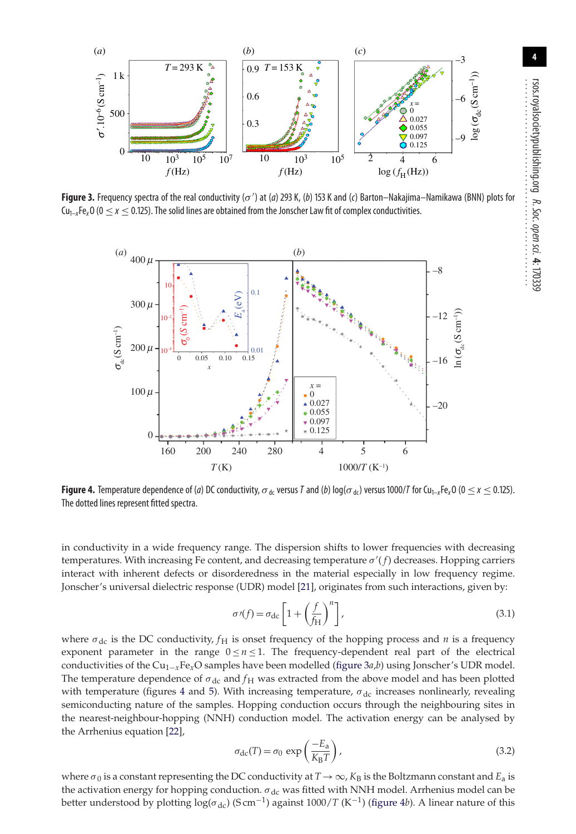<span id="page-3-0"></span>

<span id="page-3-1"></span>**Figure 3.** Frequency spectra of the real conductivity (σ') at (a) 293 K, (b) 153 K and (c) Barton–Nakajima–Namikawa (BNN) plots for  $Cu_{1-x}Fe_xO$  ( $0 \le x \le 0.125$ ). The solid lines are obtained from the Jonscher Law fit of complex conductivities.



**Figure 4.** Temperature dependence of (*a*) DC conductivity,  $\sigma_{dc}$  versus *T* and (*b*) log( $\sigma_{dc}$ ) versus 1000/*T* for Cu<sub>1–x</sub>Fe<sub>x</sub>O (0  $\leq$  x  $\leq$  0.125). The dotted lines represent fitted spectra.

in conductivity in a wide frequency range. The dispersion shifts to lower frequencies with decreasing temperatures. With increasing Fe content, and decreasing temperature σ ( *f*) decreases. Hopping carriers interact with inherent defects or disorderedness in the material especially in low frequency regime. Jonscher's universal dielectric response (UDR) model [\[21\]](#page-7-20), originates from such interactions, given by:

$$
\sigma'(f) = \sigma_{\rm dc} \left[ 1 + \left(\frac{f}{f_{\rm H}}\right)^n \right],\tag{3.1}
$$

where  $\sigma_{\rm dc}$  is the DC conductivity,  $f_{\rm H}$  is onset frequency of the hopping process and *n* is a frequency exponent parameter in the range  $0 \le n \le 1$ . The frequency-dependent real part of the electrical conductivities of the Cu1−*x*Fe*x*O samples have been modelled [\(figure 3](#page-3-0)*a*,*b*) using Jonscher's UDR model. The temperature dependence of  $\sigma_{dc}$  and  $f_H$  was extracted from the above model and has been plotted with temperature (figures [4](#page-3-1) and [5\)](#page-4-0). With increasing temperature,  $\sigma_{\rm dc}$  increases nonlinearly, revealing semiconducting nature of the samples. Hopping conduction occurs through the neighbouring sites in the nearest-neighbour-hopping (NNH) conduction model. The activation energy can be analysed by the Arrhenius equation [\[22\]](#page-7-21),

$$
\sigma_{\rm dc}(T) = \sigma_0 \, \exp\left(\frac{-E_a}{K_{\rm B}T}\right),\tag{3.2}
$$

where  $\sigma_0$  is a constant representing the DC conductivity at  $T\to\infty$ ,  $K_B$  is the Boltzmann constant and  $E_a$  is the activation energy for hopping conduction.  $\sigma_{dc}$  was fitted with NNH model. Arrhenius model can be better understood by plotting  $\log(\sigma_{\rm dc})$  (S cm<sup>-1</sup>) against 1000/*T* (K<sup>-1</sup>) [\(figure 4](#page-3-1)*b*). A linear nature of this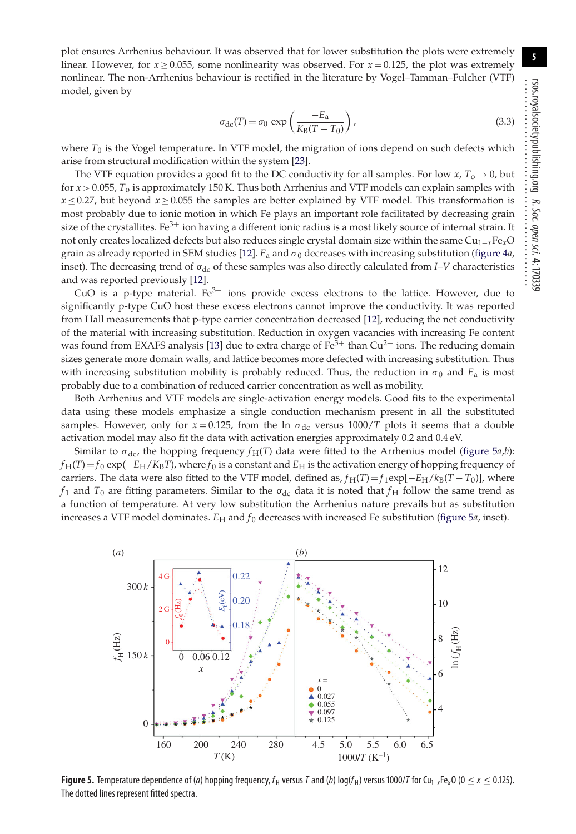**5**

plot ensures Arrhenius behaviour. It was observed that for lower substitution the plots were extremely linear. However, for  $x \ge 0.055$ , some nonlinearity was observed. For  $x = 0.125$ , the plot was extremely nonlinear. The non-Arrhenius behaviour is rectified in the literature by Vogel–Tamman–Fulcher (VTF) model, given by

$$
\sigma_{\rm dc}(T) = \sigma_0 \, \exp\left(\frac{-E_a}{K_{\rm B}(T - T_0)}\right),\tag{3.3}
$$

where  $T_0$  is the Vogel temperature. In VTF model, the migration of ions depend on such defects which arise from structural modification within the system [\[23\]](#page-7-22).

The VTF equation provides a good fit to the DC conductivity for all samples. For low  $x$ ,  $T_0 \rightarrow 0$ , but for *x* > 0.055, *T*<sup>o</sup> is approximately 150 K. Thus both Arrhenius and VTF models can explain samples with  $x \le 0.27$ , but beyond  $x \ge 0.055$  the samples are better explained by VTF model. This transformation is most probably due to ionic motion in which Fe plays an important role facilitated by decreasing grain size of the crystallites. Fe<sup>3+</sup> ion having a different ionic radius is a most likely source of internal strain. It not only creates localized defects but also reduces single crystal domain size within the same Cu1−*x*Fe*x*O grain as already reported in SEM studies [\[12\]](#page-7-11).  $E_a$  and  $\sigma_0$  decreases with increasing substitution [\(figure 4](#page-3-1)*a*, inset). The decreasing trend of σ<sub>dc</sub> of these samples was also directly calculated from *I*–*V* characteristics and was reported previously [\[12\]](#page-7-11).

CuO is a p-type material.  $Fe^{3+}$  ions provide excess electrons to the lattice. However, due to significantly p-type CuO host these excess electrons cannot improve the conductivity. It was reported from Hall measurements that p-type carrier concentration decreased [\[12\]](#page-7-11), reducing the net conductivity of the material with increasing substitution. Reduction in oxygen vacancies with increasing Fe content was found from EXAFS analysis [\[13\]](#page-7-12) due to extra charge of  $Fe<sup>3+</sup>$  than Cu<sup>2+</sup> ions. The reducing domain sizes generate more domain walls, and lattice becomes more defected with increasing substitution. Thus with increasing substitution mobility is probably reduced. Thus, the reduction in  $\sigma_0$  and  $E_a$  is most probably due to a combination of reduced carrier concentration as well as mobility.

Both Arrhenius and VTF models are single-activation energy models. Good fits to the experimental data using these models emphasize a single conduction mechanism present in all the substituted samples. However, only for  $x = 0.125$ , from the ln  $\sigma_{dc}$  versus 1000/*T* plots it seems that a double activation model may also fit the data with activation energies approximately 0.2 and 0.4 eV.

Similar to  $\sigma_{\text{dc}}$ , the hopping frequency  $f_{\text{H}}(T)$  data were fitted to the Arrhenius model [\(figure 5](#page-4-0)*a*,*b*):  $f_H(T) = f_0 \exp(-E_H/K_B T)$ , where  $f_0$  is a constant and  $E_H$  is the activation energy of hopping frequency of carriers. The data were also fitted to the VTF model, defined as,  $f_H(T) = f_1 \exp[-E_H/k_B(T - T_0)]$ , where *f*<sub>1</sub> and *T*<sub>0</sub> are fitting parameters. Similar to the  $\sigma_{dc}$  data it is noted that *f*<sub>H</sub> follow the same trend as a function of temperature. At very low substitution the Arrhenius nature prevails but as substitution increases a VTF model dominates.  $E_H$  and  $f_0$  decreases with increased Fe substitution [\(figure 5](#page-4-0)*a*, inset).

<span id="page-4-0"></span>

**Figure 5.** Temperature dependence of (*a*) hopping frequency,  $f_H$  versus *T* and (*b*) log( $f_H$ ) versus 1000/*T* for Cu<sub>1–x</sub>Fe<sub>x</sub>O (0 ≤ *x* ≤ 0.125). The dotted lines represent fitted spectra.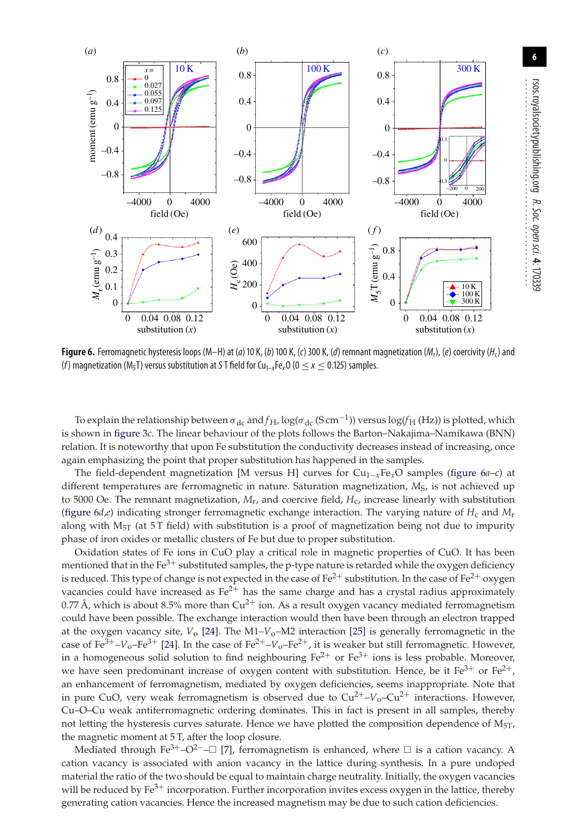<span id="page-5-0"></span>

**Figure 6.** Ferromagnetic hysteresis loops (M–H) at (*a*) 10 K, (*b*) 100 K, (*c*) 300 K, (*d*) remnant magnetization (*M*r), (*e*) coercivity (*H*c) and (*f*) magnetization ( $M_5T$ ) versus substitution at 5 T field for Cu<sub>1–x</sub>Fe<sub>x</sub>O ( $0 \le x \le 0.125$ ) samples.

To explain the relationship between  $\sigma_{\rm dc}$  and  $f_{\rm H}$ ,  $\log(\sigma_{\rm dc}$  (S cm<sup>-1</sup>)) versus  $\log(f_{\rm H}$  (Hz)) is plotted, which is shown in [figure 3](#page-3-0)*c*. The linear behaviour of the plots follows the Barton–Nakajima–Namikawa (BNN) relation. It is noteworthy that upon Fe substitution the conductivity decreases instead of increasing, once again emphasizing the point that proper substitution has happened in the samples.

The field-dependent magnetization [M versus H] curves for Cu1−*x*Fe*x*O samples [\(figure 6](#page-5-0)*a*–*c*) at different temperatures are ferromagnetic in nature. Saturation magnetization,  $M<sub>S</sub>$ , is not achieved up to 5000 Oe. The remnant magnetization,  $M_{\rm r}$ , and coercive field,  $H_{\rm c}$ , increase linearly with substitution (figure  $6d$ ,*e*) indicating stronger ferromagnetic exchange interaction. The varying nature of  $H_c$  and  $M_r$ along with  $M_{5T}$  (at 5T field) with substitution is a proof of magnetization being not due to impurity phase of iron oxides or metallic clusters of Fe but due to proper substitution.

Oxidation states of Fe ions in CuO play a critical role in magnetic properties of CuO. It has been mentioned that in the  $Fe^{3+}$  substituted samples, the p-type nature is retarded while the oxygen deficiency is reduced. This type of change is not expected in the case of  $Fe^{2+}$  substitution. In the case of  $Fe^{2+}$  oxygen vacancies could have increased as  $Fe^{2+}$  has the same charge and has a crystal radius approximately 0.77 Å, which is about 8.5% more than  $Cu^{2+}$  ion. As a result oxygen vacancy mediated ferromagnetism could have been possible. The exchange interaction would then have been through an electron trapped at the oxygen vacancy site, *V*o [\[24\]](#page-7-23). The M1–*V*o–M2 interaction [\[25\]](#page-7-24) is generally ferromagnetic in the case of  $Fe^{3+} - V_0 - Fe^{3+}$  [\[24\]](#page-7-23). In the case of  $Fe^{2+} - V_0 - Fe^{2+}$ , it is weaker but still ferromagnetic. However, in a homogeneous solid solution to find neighbouring  $Fe^{2+}$  or  $Fe^{3+}$  ions is less probable. Moreover, we have seen predominant increase of oxygen content with substitution. Hence, be it  $Fe^{3+}$  or  $Fe^{2+}$ , an enhancement of ferromagnetism, mediated by oxygen deficiencies, seems inappropriate. Note that in pure CuO, very weak ferromagnetism is observed due to  $Cu^{2+}$ – $V_0$ – $Cu^{2+}$  interactions. However, Cu–O–Cu weak antiferromagnetic ordering dominates. This in fact is present in all samples, thereby not letting the hysteresis curves saturate. Hence we have plotted the composition dependence of  $M_{5T}$ , the magnetic moment at 5 T, after the loop closure.

Mediated through Fe<sup>3+</sup>-O<sup>2−</sup>-□ [\[7\]](#page-7-6), ferromagnetism is enhanced, where □ is a cation vacancy. A cation vacancy is associated with anion vacancy in the lattice during synthesis. In a pure undoped material the ratio of the two should be equal to maintain charge neutrality. Initially, the oxygen vacancies will be reduced by  $Fe^{3+}$  incorporation. Further incorporation invites excess oxygen in the lattice, thereby generating cation vacancies. Hence the increased magnetism may be due to such cation deficiencies.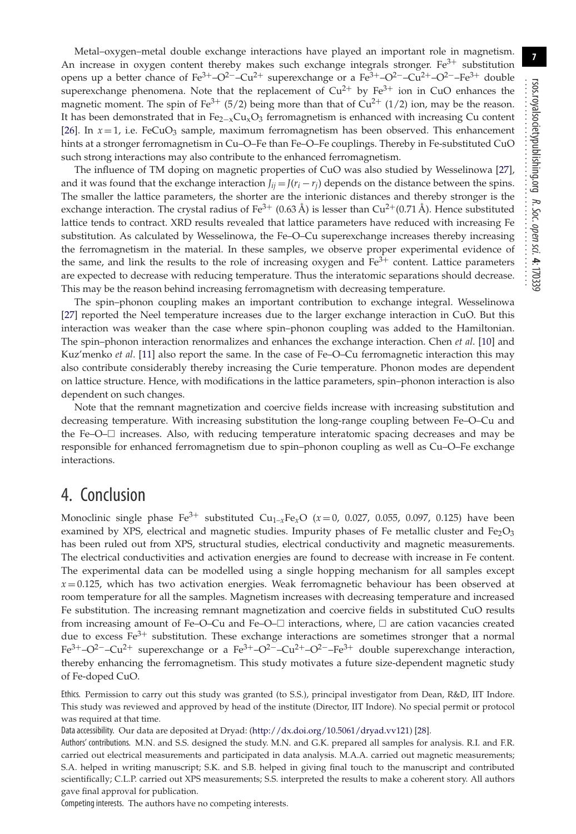**7**

Metal–oxygen–metal double exchange interactions have played an important role in magnetism. An increase in oxygen content thereby makes such exchange integrals stronger.  $Fe<sup>3+</sup>$  substitution opens up a better chance of Fe<sup>3+</sup>–O<sup>2−</sup>–Cu<sup>2+</sup> superexchange or a Fe<sup>3+</sup>–O<sup>2−</sup>–Cu<sup>2+</sup>–O<sup>2−</sup>–Fe<sup>3+</sup> double superexchange phenomena. Note that the replacement of  $Cu^{2+}$  by Fe<sup>3+</sup> ion in CuO enhances the magnetic moment. The spin of Fe<sup>3+</sup> (5/2) being more than that of  $Cu^{2+}$  (1/2) ion, may be the reason. It has been demonstrated that in  $Fe_{2-x}Cu_{x}O_{3}$  ferromagnetism is enhanced with increasing Cu content [\[26\]](#page-7-25). In  $x = 1$ , i.e. FeCuO<sub>3</sub> sample, maximum ferromagnetism has been observed. This enhancement hints at a stronger ferromagnetism in Cu–O–Fe than Fe–O–Fe couplings. Thereby in Fe-substituted CuO such strong interactions may also contribute to the enhanced ferromagnetism.

The influence of TM doping on magnetic properties of CuO was also studied by Wesselinowa [\[27\]](#page-7-26), and it was found that the exchange interaction  $J_{ij} = J(r_i - r_j)$  depends on the distance between the spins. The smaller the lattice parameters, the shorter are the interionic distances and thereby stronger is the exchange interaction. The crystal radius of Fe<sup>3+</sup> (0.63 Å) is lesser than  $Cu^{2+}(0.71 \text{ Å})$ . Hence substituted lattice tends to contract. XRD results revealed that lattice parameters have reduced with increasing Fe substitution. As calculated by Wesselinowa, the Fe–O–Cu superexchange increases thereby increasing the ferromagnetism in the material. In these samples, we observe proper experimental evidence of the same, and link the results to the role of increasing oxygen and  $Fe<sup>3+</sup>$  content. Lattice parameters are expected to decrease with reducing temperature. Thus the interatomic separations should decrease. This may be the reason behind increasing ferromagnetism with decreasing temperature.

The spin–phonon coupling makes an important contribution to exchange integral. Wesselinowa [\[27\]](#page-7-26) reported the Neel temperature increases due to the larger exchange interaction in CuO. But this interaction was weaker than the case where spin–phonon coupling was added to the Hamiltonian. The spin–phonon interaction renormalizes and enhances the exchange interaction. Chen *et al*. [\[10\]](#page-7-9) and Kuz'menko *et al*. [\[11\]](#page-7-10) also report the same. In the case of Fe–O–Cu ferromagnetic interaction this may also contribute considerably thereby increasing the Curie temperature. Phonon modes are dependent on lattice structure. Hence, with modifications in the lattice parameters, spin–phonon interaction is also dependent on such changes.

Note that the remnant magnetization and coercive fields increase with increasing substitution and decreasing temperature. With increasing substitution the long-range coupling between Fe–O–Cu and the Fe–O–□ increases. Also, with reducing temperature interatomic spacing decreases and may be responsible for enhanced ferromagnetism due to spin–phonon coupling as well as Cu–O–Fe exchange interactions.

### 4. Conclusion

Monoclinic single phase Fe<sup>3+</sup> substituted  $Cu_{1-x}Fe_xO$  ( $x=0$ , 0.027, 0.055, 0.097, 0.125) have been examined by XPS, electrical and magnetic studies. Impurity phases of Fe metallic cluster and Fe<sub>2</sub>O<sub>3</sub> has been ruled out from XPS, structural studies, electrical conductivity and magnetic measurements. The electrical conductivities and activation energies are found to decrease with increase in Fe content. The experimental data can be modelled using a single hopping mechanism for all samples except *x* = 0.125, which has two activation energies. Weak ferromagnetic behaviour has been observed at room temperature for all the samples. Magnetism increases with decreasing temperature and increased Fe substitution. The increasing remnant magnetization and coercive fields in substituted CuO results from increasing amount of Fe–O–Cu and Fe–O– $\Box$  interactions, where,  $\Box$  are cation vacancies created due to excess  $Fe<sup>3+</sup>$  substitution. These exchange interactions are sometimes stronger that a normal  $Fe^{3+}-O^{2-}-Cu^{2+}$  superexchange or a  $Fe^{3+}-O^{2-}-Cu^{2+}-O^{2-}-Fe^{3+}$  double superexchange interaction, thereby enhancing the ferromagnetism. This study motivates a future size-dependent magnetic study of Fe-doped CuO.

Ethics. Permission to carry out this study was granted (to S.S.), principal investigator from Dean, R&D, IIT Indore. This study was reviewed and approved by head of the institute (Director, IIT Indore). No special permit or protocol was required at that time.

Data accessibility. Our data are deposited at Dryad: [\(http://dx.doi.org/10.5061/dryad.vv121\)](http://dx.doi.org/10.5061/dryad.vv121) [\[28\]](#page-7-27).

Authors' contributions. M.N. and S.S. designed the study. M.N. and G.K. prepared all samples for analysis. R.I. and F.R. carried out electrical measurements and participated in data analysis. M.A.A. carried out magnetic measurements; S.A. helped in writing manuscript; S.K. and S.B. helped in giving final touch to the manuscript and contributed scientifically; C.L.P. carried out XPS measurements; S.S. interpreted the results to make a coherent story. All authors gave final approval for publication.

Competing interests. The authors have no competing interests.